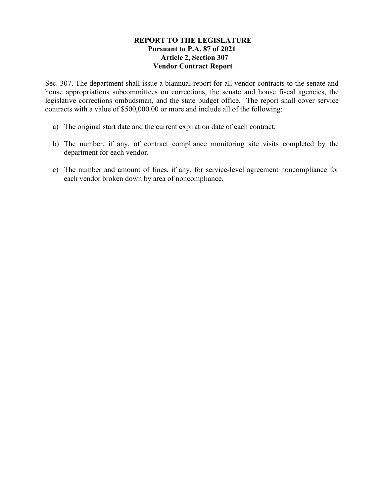## **REPORT TO THE LEGISLATURE Pursuant to P.A. 87 of 2021 Article 2, Section 307 Vendor Contract Report**

Sec. 307. The department shall issue a biannual report for all vendor contracts to the senate and house appropriations subcommittees on corrections, the senate and house fiscal agencies, the legislative corrections ombudsman, and the state budget office. The report shall cover service contracts with a value of \$500,000.00 or more and include all of the following:

- a) The original start date and the current expiration date of each contract.
- b) The number, if any, of contract compliance monitoring site visits completed by the department for each vendor.
- c) The number and amount of fines, if any, for service-level agreement noncompliance for each vendor broken down by area of noncompliance.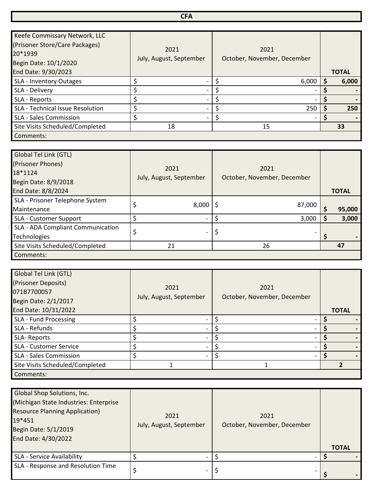## **CFA**

| Keefe Commissary Network, LLC<br>(Prisoner Store/Care Packages)<br>20*1939<br>Begin Date: 10/1/2020 | 2021<br>July, August, September | 2021<br>October, November, December |              |
|-----------------------------------------------------------------------------------------------------|---------------------------------|-------------------------------------|--------------|
| End Date: 9/30/2023                                                                                 |                                 |                                     | <b>TOTAL</b> |
| SLA - Inventory Outages                                                                             | \$                              | 6,000                               | 6,000        |
| SLA - Delivery                                                                                      | Ś                               |                                     |              |
| SLA - Reports                                                                                       | Ś                               |                                     |              |
| SLA - Technical Issue Resolution                                                                    | \$                              | 250                                 | 250          |
| <b>SLA - Sales Commission</b>                                                                       | \$                              |                                     |              |
| Site Visits Scheduled/Completed                                                                     | 18                              | 15                                  | 33           |
| Comments:                                                                                           |                                 |                                     |              |

| Global Tel Link (GTL)<br>(Prisoner Phones)<br>18*1124<br>Begin Date: 8/9/2018 | 2021<br>July, August, September | 2021<br>October, November, December |              |
|-------------------------------------------------------------------------------|---------------------------------|-------------------------------------|--------------|
| End Date: 8/8/2024                                                            |                                 |                                     | <b>TOTAL</b> |
| SLA - Prisoner Telephone System<br>Maintenance                                | 8,000                           | 87,000                              | 95,000       |
| SLA - Customer Support                                                        |                                 | 3,000                               | 3,000        |
| SLA - ADA Compliant Communication<br><b>Technologies</b>                      | \$<br>$\overline{\phantom{0}}$  | \$                                  |              |
| Site Visits Scheduled/Completed                                               | 21                              | 26                                  | 47           |
| Comments:                                                                     |                                 |                                     |              |

| Global Tel Link (GTL)<br>(Prisoner Deposits)<br>071B7700057<br>Begin Date: 2/1/2017 | 2021<br>July, August, September | 2021<br>October, November, December |              |
|-------------------------------------------------------------------------------------|---------------------------------|-------------------------------------|--------------|
| End Date: 10/31/2022                                                                |                                 |                                     | <b>TOTAL</b> |
| SLA - Fund Processing                                                               |                                 |                                     |              |
| SLA - Refunds                                                                       |                                 |                                     |              |
| SLA-Reports                                                                         |                                 |                                     |              |
| SLA - Customer Service                                                              |                                 |                                     |              |
| <b>SLA - Sales Commission</b>                                                       |                                 |                                     |              |
| Site Visits Scheduled/Completed                                                     |                                 |                                     |              |
| Comments:                                                                           |                                 |                                     |              |

| Global Shop Solutions, Inc.<br>(Michigan State Industries: Enterprise<br><b>Resource Planning Application)</b><br>19*451<br>Begin Date: 5/1/2019<br>End Date: 4/30/2022 | 2021<br>July, August, September | 2021<br>October, November, December | <b>TOTAL</b> |
|-------------------------------------------------------------------------------------------------------------------------------------------------------------------------|---------------------------------|-------------------------------------|--------------|
| SLA - Service Availability                                                                                                                                              |                                 |                                     |              |
| SLA - Response and Resolution Time                                                                                                                                      | $\overline{\phantom{0}}$        |                                     |              |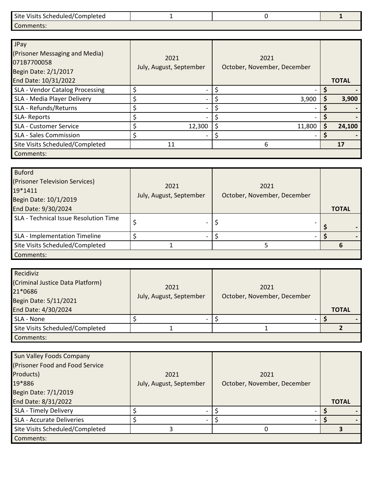| Site Visits Scheduled/Completed |  |  |
|---------------------------------|--|--|
| Comments:                       |  |  |

| JPay<br>(Prisoner Messaging and Media)<br>071B7700058<br>Begin Date: 2/1/2017<br>End Date: 10/31/2022 | 2021<br>July, August, September | 2021<br>October, November, December | <b>TOTAL</b> |
|-------------------------------------------------------------------------------------------------------|---------------------------------|-------------------------------------|--------------|
| <b>SLA - Vendor Catalog Processing</b>                                                                |                                 |                                     |              |
| SLA - Media Player Delivery                                                                           |                                 | 3,900                               | 3,900        |
| SLA - Refunds/Returns                                                                                 |                                 |                                     |              |
| SLA-Reports                                                                                           |                                 |                                     |              |
| SLA - Customer Service                                                                                | 12,300                          | 11,800                              | 24,100       |
| <b>SLA - Sales Commission</b>                                                                         | \$                              |                                     |              |
| Site Visits Scheduled/Completed                                                                       | 11                              | 6                                   | 17           |
| Comments:                                                                                             |                                 |                                     |              |

| <b>Buford</b><br>(Prisoner Television Services)<br>19*1411<br>Begin Date: 10/1/2019 | 2021<br>July, August, September | 2021<br>October, November, December |              |
|-------------------------------------------------------------------------------------|---------------------------------|-------------------------------------|--------------|
| End Date: 9/30/2024                                                                 |                                 |                                     | <b>TOTAL</b> |
| SLA - Technical Issue Resolution Time                                               | -                               |                                     |              |
| SLA - Implementation Timeline                                                       |                                 |                                     |              |
| Site Visits Scheduled/Completed                                                     |                                 |                                     |              |
| Comments:                                                                           |                                 |                                     |              |

| Recidiviz<br>(Criminal Justice Data Platform)<br>21*0686<br>Begin Date: 5/11/2021<br>End Date: 4/30/2024 | 2021<br>July, August, September | 2021<br>October, November, December | <b>TOTAL</b> |
|----------------------------------------------------------------------------------------------------------|---------------------------------|-------------------------------------|--------------|
| SLA - None                                                                                               |                                 |                                     |              |
| Site Visits Scheduled/Completed                                                                          |                                 |                                     |              |
| Comments:                                                                                                |                                 |                                     |              |

| Sun Valley Foods Company<br>(Prisoner Food and Food Service<br>Products)<br>19*886 | 2021<br>July, August, September | 2021<br>October, November, December |              |
|------------------------------------------------------------------------------------|---------------------------------|-------------------------------------|--------------|
| Begin Date: 7/1/2019                                                               |                                 |                                     |              |
| End Date: 8/31/2022                                                                |                                 |                                     | <b>TOTAL</b> |
| <b>SLA - Timely Delivery</b>                                                       |                                 |                                     |              |
| <b>SLA - Accurate Deliveries</b>                                                   |                                 |                                     |              |
| Site Visits Scheduled/Completed                                                    |                                 |                                     |              |
| Comments:                                                                          |                                 |                                     |              |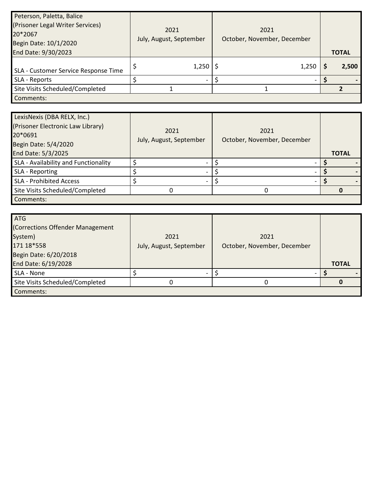| Peterson, Paletta, Balice            |                         |                             |              |
|--------------------------------------|-------------------------|-----------------------------|--------------|
| (Prisoner Legal Writer Services)     | 2021                    | 2021                        |              |
| 20*2067                              | July, August, September | October, November, December |              |
| Begin Date: 10/1/2020                |                         |                             |              |
| End Date: 9/30/2023                  |                         |                             | <b>TOTAL</b> |
| SLA - Customer Service Response Time | $1,250$   \$            | 1,250                       | 2,500        |
| SLA - Reports                        |                         |                             |              |
| Site Visits Scheduled/Completed      |                         |                             |              |
| Comments:                            |                         |                             |              |

| LexisNexis (DBA RELX, Inc.)          |                         |                             |              |
|--------------------------------------|-------------------------|-----------------------------|--------------|
| (Prisoner Electronic Law Library)    | 2021                    | 2021                        |              |
| 20*0691                              |                         | October, November, December |              |
| Begin Date: 5/4/2020                 | July, August, September |                             |              |
| End Date: 5/3/2025                   |                         |                             | <b>TOTAL</b> |
| SLA - Availability and Functionality |                         |                             |              |
| SLA - Reporting                      |                         |                             |              |
| <b>SLA - Prohibited Access</b>       |                         |                             |              |
| Site Visits Scheduled/Completed      |                         |                             |              |
| Comments:                            |                         |                             |              |

| <b>ATG</b>                       |                         |                             |              |
|----------------------------------|-------------------------|-----------------------------|--------------|
| (Corrections Offender Management |                         |                             |              |
| System)                          | 2021                    | 2021                        |              |
| 171 18*558                       | July, August, September | October, November, December |              |
| Begin Date: 6/20/2018            |                         |                             |              |
| End Date: 6/19/2028              |                         |                             | <b>TOTAL</b> |
| SLA - None                       |                         |                             |              |
| Site Visits Scheduled/Completed  |                         |                             |              |
| Comments:                        |                         |                             |              |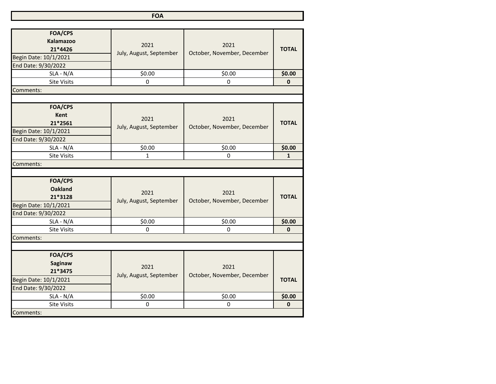**FOA**

| <b>FOA/CPS</b><br><b>Kalamazoo</b><br>21*4426<br>Begin Date: 10/1/2021<br>End Date: 9/30/2022 | 2021<br>July, August, September | 2021<br>October, November, December | <b>TOTAL</b> |
|-----------------------------------------------------------------------------------------------|---------------------------------|-------------------------------------|--------------|
| $SLA - N/A$                                                                                   | \$0.00                          | \$0.00                              | \$0.00       |
| <b>Site Visits</b>                                                                            | $\mathbf 0$                     | $\Omega$                            | $\mathbf{0}$ |
| Comments:                                                                                     |                                 |                                     |              |
|                                                                                               |                                 |                                     |              |
| <b>FOA/CPS</b><br><b>Kent</b><br>21*2561<br>Begin Date: 10/1/2021<br>End Date: 9/30/2022      | 2021<br>July, August, September | 2021<br>October, November, December | <b>TOTAL</b> |
| $SLA - N/A$                                                                                   | \$0.00                          | \$0.00                              | \$0.00       |
| <b>Site Visits</b>                                                                            | $\mathbf{1}$                    | 0                                   | $\mathbf{1}$ |
| Comments:                                                                                     |                                 |                                     |              |
|                                                                                               |                                 |                                     |              |
| <b>FOA/CPS</b><br><b>Oakland</b><br>21*3128<br>Begin Date: 10/1/2021<br>End Date: 9/30/2022   | 2021<br>July, August, September | 2021<br>October, November, December | <b>TOTAL</b> |
| $SLA - N/A$                                                                                   | \$0.00                          | \$0.00                              | \$0.00       |
| <b>Site Visits</b>                                                                            | $\mathbf 0$                     | 0                                   | $\mathbf{0}$ |
| Comments:                                                                                     |                                 |                                     |              |
|                                                                                               |                                 |                                     |              |
| <b>FOA/CPS</b><br><b>Saginaw</b><br>21*3475<br>Begin Date: 10/1/2021<br>End Date: 9/30/2022   | 2021<br>July, August, September | 2021<br>October, November, December | <b>TOTAL</b> |
| $SLA - N/A$                                                                                   | \$0.00                          | \$0.00                              | \$0.00       |
| <b>Site Visits</b>                                                                            | 0                               | 0                                   | 0            |
| Comments:                                                                                     |                                 |                                     |              |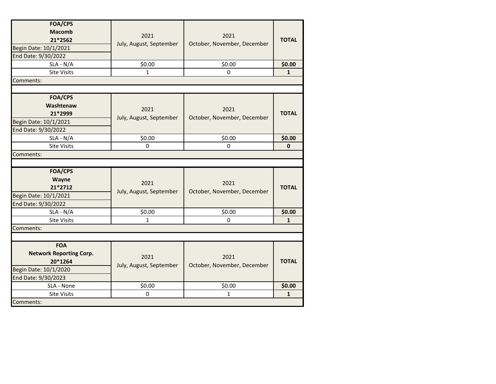| <b>FOA/CPS</b><br><b>Macomb</b><br>21*2562<br>Begin Date: 10/1/2021<br>End Date: 9/30/2022 | 2021<br>July, August, September | 2021<br>October, November, December | <b>TOTAL</b> |
|--------------------------------------------------------------------------------------------|---------------------------------|-------------------------------------|--------------|
| $SLA - N/A$                                                                                | \$0.00                          | \$0.00                              | \$0.00       |
| <b>Site Visits</b>                                                                         | 1                               | 0                                   | $\mathbf{1}$ |
| Comments:                                                                                  |                                 |                                     |              |
|                                                                                            |                                 |                                     |              |
| <b>FOA/CPS</b><br>Washtenaw<br>21*2999<br>Begin Date: 10/1/2021<br>End Date: 9/30/2022     | 2021<br>July, August, September | 2021<br>October, November, December | <b>TOTAL</b> |
| $SLA - N/A$                                                                                | \$0.00                          | \$0.00                              | \$0.00       |
| <b>Site Visits</b>                                                                         | $\pmb{0}$                       | 0                                   | $\pmb{0}$    |
| Comments:                                                                                  |                                 |                                     |              |
|                                                                                            |                                 |                                     |              |
| <b>FOA/CPS</b><br>Wayne<br>21*2712<br>Begin Date: 10/1/2021<br>End Date: 9/30/2022         | 2021<br>July, August, September | 2021<br>October, November, December | <b>TOTAL</b> |
| $SLA - N/A$                                                                                | \$0.00                          | \$0.00                              | \$0.00       |
| <b>Site Visits</b>                                                                         | 1                               | $\mathbf 0$                         | $\mathbf{1}$ |
| Comments:                                                                                  |                                 |                                     |              |
|                                                                                            |                                 |                                     |              |
| <b>FOA</b><br><b>Network Reporting Corp.</b><br>20*1264<br>Begin Date: 10/1/2020           | 2021<br>July, August, September | 2021<br>October, November, December | <b>TOTAL</b> |
| End Date: 9/30/2023                                                                        |                                 |                                     |              |
| SLA - None                                                                                 | \$0.00                          | \$0.00                              | \$0.00       |
| <b>Site Visits</b>                                                                         | $\mathbf 0$                     | $\mathbf{1}$                        | $\mathbf{1}$ |
| Comments:                                                                                  |                                 |                                     |              |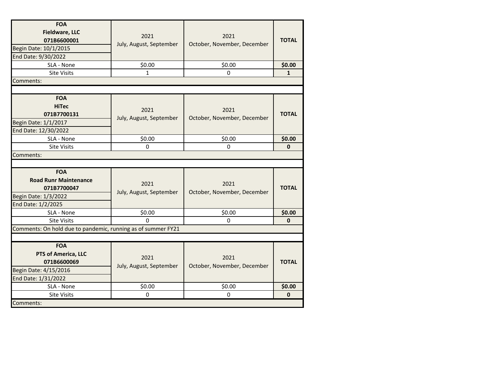| <b>FOA</b><br><b>Fieldware, LLC</b><br>071B6600001<br>Begin Date: 10/1/2015<br>End Date: 9/30/2022      | 2021<br>July, August, September | 2021<br>October, November, December | <b>TOTAL</b> |
|---------------------------------------------------------------------------------------------------------|---------------------------------|-------------------------------------|--------------|
| SLA - None                                                                                              | \$0.00                          | \$0.00                              | \$0.00       |
| <b>Site Visits</b>                                                                                      | $\mathbf{1}$                    | 0                                   | $\mathbf{1}$ |
| Comments:                                                                                               |                                 |                                     |              |
|                                                                                                         |                                 |                                     |              |
| <b>FOA</b><br><b>HiTec</b><br>071B7700131<br>Begin Date: 1/1/2017<br>End Date: 12/30/2022               | 2021<br>July, August, September | 2021<br>October, November, December | <b>TOTAL</b> |
| SLA - None                                                                                              | \$0.00                          | \$0.00                              | \$0.00       |
| <b>Site Visits</b>                                                                                      | $\Omega$                        | 0                                   | $\mathbf{0}$ |
| Comments:                                                                                               |                                 |                                     |              |
|                                                                                                         |                                 |                                     |              |
| <b>FOA</b><br><b>Road Runr Maintenance</b><br>071B7700047<br>Begin Date: 1/3/2022<br>End Date: 1/2/2025 | 2021<br>July, August, September | 2021<br>October, November, December | <b>TOTAL</b> |
| SLA - None                                                                                              | \$0.00                          | \$0.00                              | \$0.00       |
| <b>Site Visits</b>                                                                                      | 0                               | 0                                   | $\mathbf 0$  |
| Comments: On hold due to pandemic, running as of summer FY21                                            |                                 |                                     |              |
|                                                                                                         |                                 |                                     |              |
| <b>FOA</b><br>PTS of America, LLC<br>071B6600069<br>Begin Date: 4/15/2016<br>End Date: 1/31/2022        | 2021<br>July, August, September | 2021<br>October, November, December | <b>TOTAL</b> |
| SLA - None                                                                                              | \$0.00                          | \$0.00                              | \$0.00       |
| <b>Site Visits</b>                                                                                      | 0                               | $\mathbf 0$                         | $\mathbf 0$  |
| Comments:                                                                                               |                                 |                                     |              |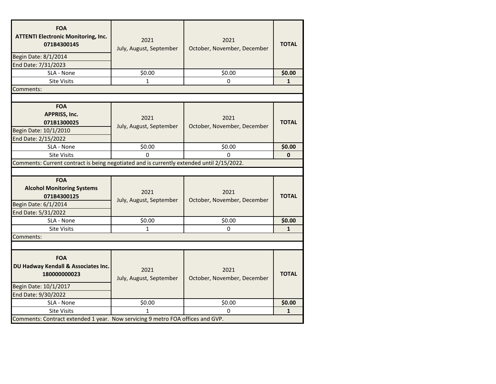| <b>FOA</b><br><b>ATTENTI Electronic Monitoring, Inc.</b><br>071B4300145<br>Begin Date: 8/1/2014<br>End Date: 7/31/2023 | 2021<br>July, August, September | 2021<br>October, November, December | <b>TOTAL</b> |
|------------------------------------------------------------------------------------------------------------------------|---------------------------------|-------------------------------------|--------------|
| SLA - None                                                                                                             | \$0.00                          | \$0.00                              | \$0.00       |
| <b>Site Visits</b>                                                                                                     | 1                               | 0                                   | $\mathbf{1}$ |
| Comments:                                                                                                              |                                 |                                     |              |
|                                                                                                                        |                                 |                                     |              |
| <b>FOA</b><br>APPRISS, Inc.<br>071B1300025<br>Begin Date: 10/1/2010<br>End Date: 2/15/2022                             | 2021<br>July, August, September | 2021<br>October, November, December | <b>TOTAL</b> |
| SLA - None                                                                                                             | \$0.00                          | \$0.00                              | \$0.00       |
| <b>Site Visits</b>                                                                                                     | <sup>0</sup>                    | $\Omega$                            | $\mathbf{0}$ |
| Comments: Current contract is being negotiated and is currently extended until 2/15/2022.                              |                                 |                                     |              |
|                                                                                                                        |                                 |                                     |              |
| <b>FOA</b><br><b>Alcohol Monitoring Systems</b><br>071B4300125<br>Begin Date: 6/1/2014<br>End Date: 5/31/2022          | 2021<br>July, August, September | 2021<br>October, November, December | <b>TOTAL</b> |
| SLA - None                                                                                                             | \$0.00                          | \$0.00                              | \$0.00       |
| <b>Site Visits</b>                                                                                                     | 1                               | 0                                   | $\mathbf{1}$ |
| Comments:                                                                                                              |                                 |                                     |              |
|                                                                                                                        |                                 |                                     |              |
| <b>FOA</b><br>DU Hadway Kendall & Associates Inc.<br>180000000023<br>Begin Date: 10/1/2017<br>End Date: 9/30/2022      | 2021<br>July, August, September | 2021<br>October, November, December | <b>TOTAL</b> |
| SLA - None                                                                                                             | \$0.00                          | \$0.00                              | \$0.00       |
| <b>Site Visits</b>                                                                                                     |                                 | 0                                   | $\mathbf{1}$ |
| Comments: Contract extended 1 year. Now servicing 9 metro FOA offices and GVP.                                         |                                 |                                     |              |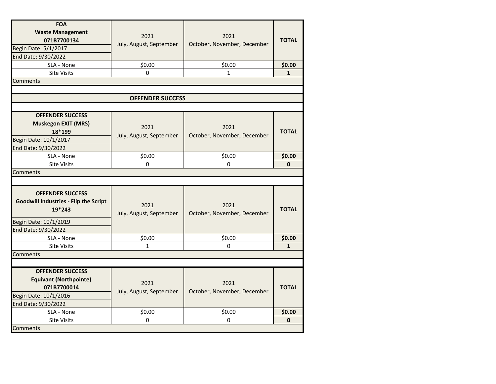| <b>FOA</b><br><b>Waste Management</b><br>071B7700134<br>Begin Date: 5/1/2017<br>End Date: 9/30/2022<br>SLA - None<br><b>Site Visits</b> | 2021<br>July, August, September<br>\$0.00<br>0 | 2021<br>October, November, December<br>\$0.00<br>1 | <b>TOTAL</b><br>\$0.00<br>$\mathbf{1}$ |
|-----------------------------------------------------------------------------------------------------------------------------------------|------------------------------------------------|----------------------------------------------------|----------------------------------------|
| Comments:                                                                                                                               |                                                |                                                    |                                        |
|                                                                                                                                         |                                                |                                                    |                                        |
|                                                                                                                                         | <b>OFFENDER SUCCESS</b>                        |                                                    |                                        |
|                                                                                                                                         |                                                |                                                    |                                        |
| <b>OFFENDER SUCCESS</b><br><b>Muskegon EXIT (MRS)</b><br>18*199<br>Begin Date: 10/1/2017<br>End Date: 9/30/2022                         | 2021<br>July, August, September                | 2021<br>October, November, December                | <b>TOTAL</b>                           |
| SLA - None                                                                                                                              | \$0.00                                         | \$0.00                                             | \$0.00                                 |
| <b>Site Visits</b>                                                                                                                      | 0                                              | $\Omega$                                           | $\mathbf{0}$                           |
| Comments:                                                                                                                               |                                                |                                                    |                                        |
|                                                                                                                                         |                                                |                                                    |                                        |
| <b>OFFENDER SUCCESS</b><br><b>Goodwill Industries - Flip the Script</b><br>19*243                                                       | 2021<br>July, August, September                | 2021<br>October, November, December                | <b>TOTAL</b>                           |
| Begin Date: 10/1/2019                                                                                                                   |                                                |                                                    |                                        |
| End Date: 9/30/2022                                                                                                                     |                                                |                                                    |                                        |
| SLA - None                                                                                                                              | \$0.00                                         | \$0.00                                             | \$0.00                                 |
| <b>Site Visits</b>                                                                                                                      | $\mathbf{1}$                                   | 0                                                  | $\mathbf{1}$                           |
| Comments:                                                                                                                               |                                                |                                                    |                                        |
|                                                                                                                                         |                                                |                                                    |                                        |
| <b>OFFENDER SUCCESS</b><br><b>Equivant (Northpointe)</b><br>071B7700014<br>Begin Date: 10/1/2016<br>End Date: 9/30/2022                 | 2021<br>July, August, September                | 2021<br>October, November, December                | <b>TOTAL</b>                           |
| SLA - None                                                                                                                              | \$0.00                                         | \$0.00                                             | \$0.00                                 |
| Site Visits                                                                                                                             | 0                                              | $\Omega$                                           | $\bf{0}$                               |
| Comments:                                                                                                                               |                                                |                                                    |                                        |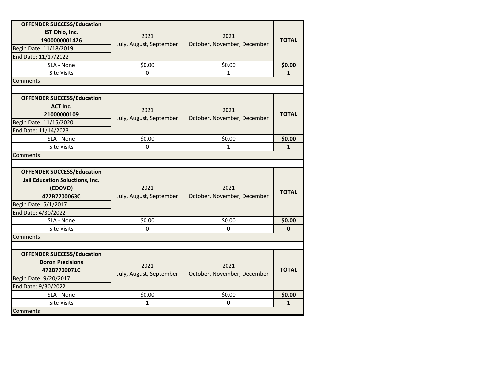| <b>OFFENDER SUCCESS/Education</b><br>IST Ohio, Inc.<br>1900000001426<br>Begin Date: 11/18/2019<br>End Date: 11/17/2022         | 2021<br>July, August, September | 2021<br>October, November, December | <b>TOTAL</b> |
|--------------------------------------------------------------------------------------------------------------------------------|---------------------------------|-------------------------------------|--------------|
| SLA - None                                                                                                                     | \$0.00                          | \$0.00                              | \$0.00       |
| <b>Site Visits</b>                                                                                                             | $\Omega$                        | $\mathbf{1}$                        | $\mathbf{1}$ |
| Comments:                                                                                                                      |                                 |                                     |              |
|                                                                                                                                |                                 |                                     |              |
| <b>OFFENDER SUCCESS/Education</b><br><b>ACT Inc.</b><br>21000000109<br>Begin Date: 11/15/2020<br>End Date: 11/14/2023          | 2021<br>July, August, September | 2021<br>October, November, December | <b>TOTAL</b> |
| SLA - None                                                                                                                     | \$0.00                          | \$0.00                              | \$0.00       |
| <b>Site Visits</b>                                                                                                             | 0                               | $\mathbf{1}$                        | $\mathbf{1}$ |
| Comments:                                                                                                                      |                                 |                                     |              |
|                                                                                                                                |                                 |                                     |              |
| <b>OFFENDER SUCCESS/Education</b><br><b>Jail Education Soluctions, Inc.</b><br>(EDOVO)<br>472B7700063C<br>Begin Date: 5/1/2017 | 2021<br>July, August, September | 2021<br>October, November, December | <b>TOTAL</b> |
|                                                                                                                                |                                 |                                     |              |
| End Date: 4/30/2022<br>SLA - None                                                                                              | \$0.00                          | \$0.00                              | \$0.00       |
| <b>Site Visits</b>                                                                                                             | $\Omega$                        | $\Omega$                            | $\mathbf{0}$ |
| Comments:                                                                                                                      |                                 |                                     |              |
|                                                                                                                                |                                 |                                     |              |
| <b>OFFENDER SUCCESS/Education</b><br><b>Doron Precisions</b><br>472B7700071C<br>Begin Date: 9/20/2017<br>End Date: 9/30/2022   | 2021<br>July, August, September | 2021<br>October, November, December | <b>TOTAL</b> |
| SLA - None                                                                                                                     | \$0.00                          | \$0.00                              | \$0.00       |
| <b>Site Visits</b>                                                                                                             | 1                               | 0                                   | $\mathbf{1}$ |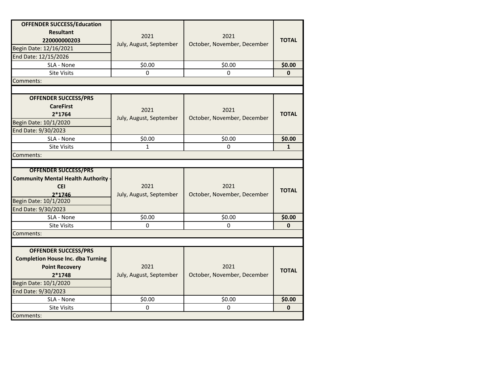| <b>OFFENDER SUCCESS/Education</b><br><b>Resultant</b><br>220000000203<br>Begin Date: 12/16/2021<br>End Date: 12/15/2026<br>SLA - None                      | 2021<br>July, August, September<br>\$0.00 | 2021<br>October, November, December<br>\$0.00 | <b>TOTAL</b><br>\$0.00 |
|------------------------------------------------------------------------------------------------------------------------------------------------------------|-------------------------------------------|-----------------------------------------------|------------------------|
| <b>Site Visits</b>                                                                                                                                         | $\Omega$                                  | $\Omega$                                      | $\mathbf{0}$           |
| Comments:                                                                                                                                                  |                                           |                                               |                        |
|                                                                                                                                                            |                                           |                                               |                        |
| <b>OFFENDER SUCCESS/PRS</b><br><b>CareFirst</b><br>$2*1764$<br>Begin Date: 10/1/2020<br>End Date: 9/30/2023                                                | 2021<br>July, August, September           | 2021<br>October, November, December           | <b>TOTAL</b>           |
| SLA - None                                                                                                                                                 | \$0.00                                    | \$0.00                                        | \$0.00                 |
| <b>Site Visits</b>                                                                                                                                         | $\mathbf 1$                               | 0                                             | $\mathbf{1}$           |
| Comments:                                                                                                                                                  |                                           |                                               |                        |
|                                                                                                                                                            |                                           |                                               |                        |
| <b>OFFENDER SUCCESS/PRS</b><br><b>Community Mental Health Authority</b><br><b>CEI</b><br>$2*1746$<br>Begin Date: 10/1/2020<br>End Date: 9/30/2023          | 2021<br>July, August, September           | 2021<br>October, November, December           | <b>TOTAL</b>           |
| SLA - None                                                                                                                                                 | \$0.00                                    | \$0.00                                        | \$0.00                 |
| <b>Site Visits</b>                                                                                                                                         | 0                                         | 0                                             | $\mathbf{0}$           |
| Comments:                                                                                                                                                  |                                           |                                               |                        |
|                                                                                                                                                            |                                           |                                               |                        |
| <b>OFFENDER SUCCESS/PRS</b><br><b>Completion House Inc. dba Turning</b><br><b>Point Recovery</b><br>2*1748<br>Begin Date: 10/1/2020<br>End Date: 9/30/2023 | 2021<br>July, August, September           | 2021<br>October, November, December           | <b>TOTAL</b>           |
| SLA - None                                                                                                                                                 | \$0.00                                    | \$0.00                                        | \$0.00                 |
| Site Visits                                                                                                                                                | 0                                         | $\Omega$                                      | $\mathbf{0}$           |
| Comments:                                                                                                                                                  |                                           |                                               |                        |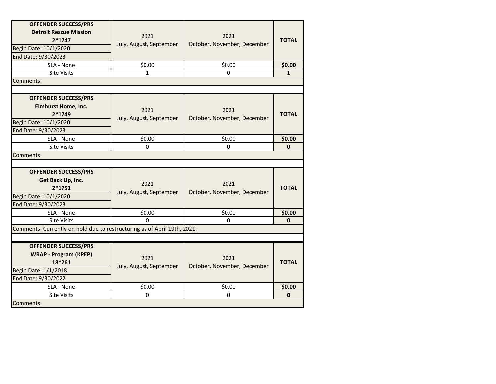| <b>OFFENDER SUCCESS/PRS</b><br><b>Detroit Rescue Mission</b><br>$2*1747$<br>Begin Date: 10/1/2020<br>End Date: 9/30/2023 | 2021<br>July, August, September | 2021<br>October, November, December | <b>TOTAL</b> |
|--------------------------------------------------------------------------------------------------------------------------|---------------------------------|-------------------------------------|--------------|
| SLA - None                                                                                                               | \$0.00                          | \$0.00                              | \$0.00       |
| <b>Site Visits</b>                                                                                                       | $\mathbf{1}$                    | 0                                   | $\mathbf{1}$ |
| Comments:                                                                                                                |                                 |                                     |              |
|                                                                                                                          |                                 |                                     |              |
| <b>OFFENDER SUCCESS/PRS</b><br>Elmhurst Home, Inc.<br>$2*1749$<br>Begin Date: 10/1/2020<br>End Date: 9/30/2023           | 2021<br>July, August, September | 2021<br>October, November, December | <b>TOTAL</b> |
| SLA - None                                                                                                               | \$0.00                          | \$0.00                              | \$0.00       |
| <b>Site Visits</b>                                                                                                       | 0                               | 0                                   | $\mathbf{0}$ |
| Comments:                                                                                                                |                                 |                                     |              |
|                                                                                                                          |                                 |                                     |              |
| <b>OFFENDER SUCCESS/PRS</b><br>Get Back Up, Inc.<br>$2*1751$<br>Begin Date: 10/1/2020<br>End Date: 9/30/2023             | 2021<br>July, August, September | 2021<br>October, November, December | <b>TOTAL</b> |
| SLA - None                                                                                                               | \$0.00                          | \$0.00                              | \$0.00       |
| <b>Site Visits</b>                                                                                                       | $\Omega$                        | 0                                   | $\mathbf{0}$ |
| Comments: Currently on hold due to restructuring as of April 19th, 2021.                                                 |                                 |                                     |              |
|                                                                                                                          |                                 |                                     |              |
| <b>OFFENDER SUCCESS/PRS</b><br><b>WRAP - Program (KPEP)</b><br>18*261<br>Begin Date: 1/1/2018<br>End Date: 9/30/2022     | 2021<br>July, August, September | 2021<br>October, November, December | <b>TOTAL</b> |
| SLA - None                                                                                                               | \$0.00                          | \$0.00                              | \$0.00       |
| <b>Site Visits</b>                                                                                                       | $\Omega$                        | $\Omega$                            | $\mathbf{0}$ |
| Comments:                                                                                                                |                                 |                                     |              |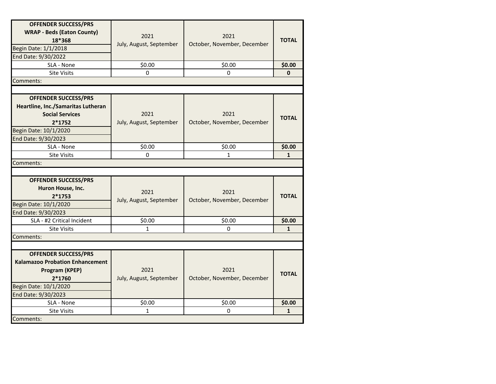| <b>OFFENDER SUCCESS/PRS</b><br><b>WRAP - Beds (Eaton County)</b><br>18*368<br>Begin Date: 1/1/2018<br>End Date: 9/30/2022                               | 2021<br>July, August, September | 2021<br>October, November, December | <b>TOTAL</b> |
|---------------------------------------------------------------------------------------------------------------------------------------------------------|---------------------------------|-------------------------------------|--------------|
| SLA - None                                                                                                                                              | \$0.00                          | \$0.00                              | \$0.00       |
| <b>Site Visits</b>                                                                                                                                      | 0                               | $\Omega$                            | $\mathbf 0$  |
| Comments:                                                                                                                                               |                                 |                                     |              |
|                                                                                                                                                         |                                 |                                     |              |
| <b>OFFENDER SUCCESS/PRS</b><br>Heartline, Inc./Samaritas Lutheran<br><b>Social Services</b><br>$2*1752$<br>Begin Date: 10/1/2020<br>End Date: 9/30/2023 | 2021<br>July, August, September | 2021<br>October, November, December | <b>TOTAL</b> |
| SLA - None                                                                                                                                              | \$0.00                          | \$0.00                              | \$0.00       |
| <b>Site Visits</b>                                                                                                                                      | $\Omega$                        | 1                                   | $\mathbf{1}$ |
| Comments:                                                                                                                                               |                                 |                                     |              |
| <b>OFFENDER SUCCESS/PRS</b><br>Huron House, Inc.<br>$2*1753$<br>Begin Date: 10/1/2020<br>End Date: 9/30/2023                                            | 2021<br>July, August, September | 2021<br>October, November, December | <b>TOTAL</b> |
| SLA - #2 Critical Incident                                                                                                                              | \$0.00                          | \$0.00                              | \$0.00       |
| <b>Site Visits</b>                                                                                                                                      | $\mathbf{1}$                    | $\Omega$                            | $\mathbf{1}$ |
| Comments:                                                                                                                                               |                                 |                                     |              |
|                                                                                                                                                         |                                 |                                     |              |
| <b>OFFENDER SUCCESS/PRS</b><br><b>Kalamazoo Probation Enhancement</b><br>Program (KPEP)<br>$2*1760$<br>Begin Date: 10/1/2020<br>End Date: 9/30/2023     | 2021<br>July, August, September | 2021<br>October, November, December | <b>TOTAL</b> |
| SLA - None                                                                                                                                              | \$0.00                          | \$0.00                              | \$0.00       |
| <b>Site Visits</b>                                                                                                                                      | 1                               | 0                                   | $\mathbf{1}$ |
| Comments:                                                                                                                                               |                                 |                                     |              |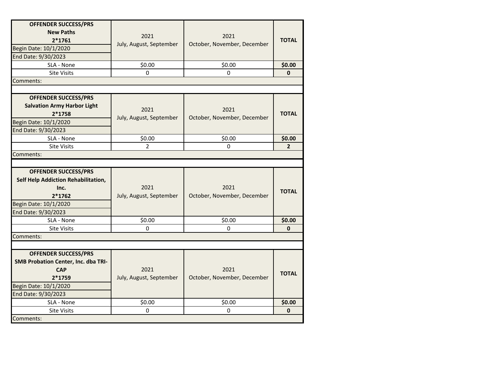| <b>OFFENDER SUCCESS/PRS</b><br><b>New Paths</b><br>$2*1761$<br>Begin Date: 10/1/2020<br>End Date: 9/30/2023                                | 2021<br>July, August, September | 2021<br>October, November, December | <b>TOTAL</b>   |
|--------------------------------------------------------------------------------------------------------------------------------------------|---------------------------------|-------------------------------------|----------------|
| SLA - None                                                                                                                                 | \$0.00                          | \$0.00                              | \$0.00         |
| Site Visits                                                                                                                                | 0                               | 0                                   | $\mathbf 0$    |
| Comments:                                                                                                                                  |                                 |                                     |                |
|                                                                                                                                            |                                 |                                     |                |
| <b>OFFENDER SUCCESS/PRS</b><br><b>Salvation Army Harbor Light</b><br>$2*1758$<br>Begin Date: 10/1/2020<br>End Date: 9/30/2023              | 2021<br>July, August, September | 2021<br>October, November, December | <b>TOTAL</b>   |
| SLA - None                                                                                                                                 | \$0.00                          | \$0.00                              | \$0.00         |
| <b>Site Visits</b>                                                                                                                         | $\mathbf{2}^{\prime}$           | 0                                   | $\overline{2}$ |
| Comments:                                                                                                                                  |                                 |                                     |                |
|                                                                                                                                            |                                 |                                     |                |
| <b>OFFENDER SUCCESS/PRS</b><br>Self Help Addiction Rehabilitation,<br>Inc.<br>$2*1762$<br>Begin Date: 10/1/2020<br>End Date: 9/30/2023     | 2021<br>July, August, September | 2021<br>October, November, December | <b>TOTAL</b>   |
| SLA - None                                                                                                                                 | \$0.00                          | \$0.00                              | \$0.00         |
| <b>Site Visits</b>                                                                                                                         | $\Omega$                        | $\Omega$                            | $\mathbf{0}$   |
| Comments:                                                                                                                                  |                                 |                                     |                |
|                                                                                                                                            |                                 |                                     |                |
| <b>OFFENDER SUCCESS/PRS</b><br>SMB Probation Center, Inc. dba TRI-<br><b>CAP</b><br>2*1759<br>Begin Date: 10/1/2020<br>End Date: 9/30/2023 | 2021<br>July, August, September | 2021<br>October, November, December | <b>TOTAL</b>   |
| SLA - None                                                                                                                                 | \$0.00                          | \$0.00                              | \$0.00         |
| <b>Site Visits</b>                                                                                                                         | 0                               | 0                                   | $\mathbf{0}$   |
| Comments:                                                                                                                                  |                                 |                                     |                |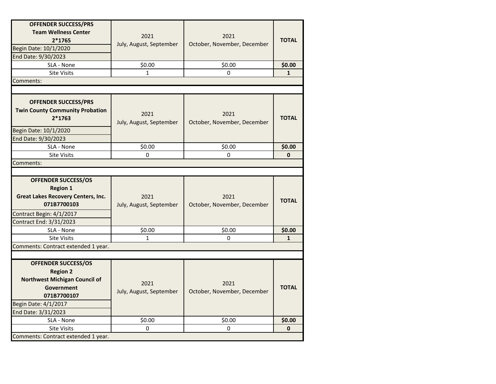| <b>OFFENDER SUCCESS/PRS</b><br><b>Team Wellness Center</b>                                                                                                        |                                 |                                     |              |
|-------------------------------------------------------------------------------------------------------------------------------------------------------------------|---------------------------------|-------------------------------------|--------------|
| $2*1765$                                                                                                                                                          | 2021                            | 2021                                | <b>TOTAL</b> |
| Begin Date: 10/1/2020                                                                                                                                             | July, August, September         | October, November, December         |              |
| End Date: 9/30/2023                                                                                                                                               |                                 |                                     |              |
| SLA - None                                                                                                                                                        | \$0.00                          | \$0.00                              | \$0.00       |
| <b>Site Visits</b>                                                                                                                                                | $\mathbf{1}$                    | 0                                   | $\mathbf{1}$ |
| Comments:                                                                                                                                                         |                                 |                                     |              |
|                                                                                                                                                                   |                                 |                                     |              |
| <b>OFFENDER SUCCESS/PRS</b><br><b>Twin County Community Probation</b><br>$2*1763$                                                                                 | 2021<br>July, August, September | 2021<br>October, November, December | <b>TOTAL</b> |
| Begin Date: 10/1/2020                                                                                                                                             |                                 |                                     |              |
| End Date: 9/30/2023                                                                                                                                               |                                 |                                     |              |
| SLA - None                                                                                                                                                        | \$0.00                          | \$0.00                              | \$0.00       |
| <b>Site Visits</b>                                                                                                                                                | $\Omega$                        | $\Omega$                            | $\mathbf{0}$ |
| Comments:                                                                                                                                                         |                                 |                                     |              |
|                                                                                                                                                                   |                                 |                                     |              |
| <b>OFFENDER SUCCESS/OS</b><br><b>Region 1</b>                                                                                                                     |                                 |                                     |              |
| <b>Great Lakes Recovery Centers, Inc.</b><br>071B7700103                                                                                                          | 2021<br>July, August, September | 2021<br>October, November, December | <b>TOTAL</b> |
| Contract Begin: 4/1/2017                                                                                                                                          |                                 |                                     |              |
| Contract End: 3/31/2023                                                                                                                                           |                                 |                                     |              |
| SLA - None                                                                                                                                                        | \$0.00                          | \$0.00                              | \$0.00       |
| <b>Site Visits</b>                                                                                                                                                | 1                               | $\Omega$                            | $\mathbf{1}$ |
| Comments: Contract extended 1 year.                                                                                                                               |                                 |                                     |              |
|                                                                                                                                                                   |                                 |                                     |              |
| <b>OFFENDER SUCCESS/OS</b><br><b>Region 2</b><br><b>Northwest Michigan Council of</b><br>Government<br>071B7700107<br>Begin Date: 4/1/2017<br>End Date: 3/31/2023 | 2021<br>July, August, September | 2021<br>October, November, December | <b>TOTAL</b> |
| SLA - None                                                                                                                                                        | \$0.00                          | \$0.00                              | \$0.00       |
| <b>Site Visits</b>                                                                                                                                                | 0                               | 0                                   | 0            |
| Comments: Contract extended 1 year.                                                                                                                               |                                 |                                     |              |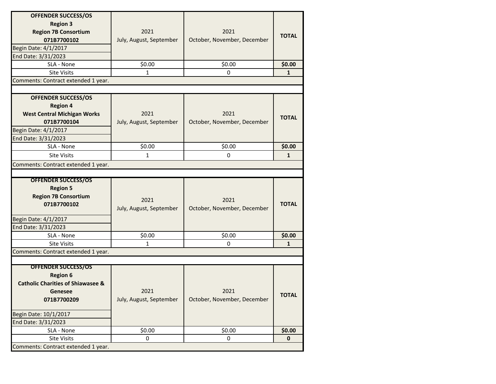| <b>OFFENDER SUCCESS/OS</b>                   |                         |                             |              |
|----------------------------------------------|-------------------------|-----------------------------|--------------|
| <b>Region 3</b>                              |                         |                             |              |
| <b>Region 7B Consortium</b>                  | 2021                    | 2021                        |              |
| 071B7700102                                  | July, August, September | October, November, December | <b>TOTAL</b> |
| Begin Date: 4/1/2017                         |                         |                             |              |
| End Date: 3/31/2023                          |                         |                             |              |
| SLA - None                                   | \$0.00                  | \$0.00                      | \$0.00       |
| <b>Site Visits</b>                           | 1                       | $\mathbf 0$                 | $\mathbf{1}$ |
| Comments: Contract extended 1 year.          |                         |                             |              |
|                                              |                         |                             |              |
| <b>OFFENDER SUCCESS/OS</b>                   |                         |                             |              |
| <b>Region 4</b>                              |                         |                             |              |
| <b>West Central Michigan Works</b>           | 2021                    | 2021                        |              |
| 071B7700104                                  | July, August, September | October, November, December | <b>TOTAL</b> |
| Begin Date: 4/1/2017                         |                         |                             |              |
| End Date: 3/31/2023                          |                         |                             |              |
| SLA - None                                   | \$0.00                  | \$0.00                      | \$0.00       |
| <b>Site Visits</b>                           | $\mathbf{1}$            | 0                           | $\mathbf{1}$ |
| Comments: Contract extended 1 year.          |                         |                             |              |
|                                              |                         |                             |              |
| <b>OFFENDER SUCCESS/OS</b>                   |                         |                             |              |
| <b>Region 5</b>                              |                         |                             |              |
| <b>Region 7B Consortium</b>                  | 2021                    | 2021                        |              |
| 071B7700102                                  |                         |                             | <b>TOTAL</b> |
|                                              | July, August, September | October, November, December |              |
| Begin Date: 4/1/2017                         |                         |                             |              |
| End Date: 3/31/2023                          |                         |                             |              |
| SLA - None                                   | \$0.00                  | \$0.00                      | \$0.00       |
| <b>Site Visits</b>                           | 1                       | 0                           | $\mathbf{1}$ |
| Comments: Contract extended 1 year.          |                         |                             |              |
|                                              |                         |                             |              |
| <b>OFFENDER SUCCESS/OS</b>                   |                         |                             |              |
| <b>Region 6</b>                              |                         |                             |              |
| <b>Catholic Charities of Shiawasee &amp;</b> |                         |                             |              |
| Genesee                                      | 2021                    | 2021                        | <b>TOTAL</b> |
| 071B7700209                                  | July, August, September | October, November, December |              |
| Begin Date: 10/1/2017                        |                         |                             |              |
| End Date: 3/31/2023                          |                         |                             |              |
| SLA - None                                   | \$0.00                  | \$0.00                      | \$0.00       |
| <b>Site Visits</b>                           | 0                       | 0                           | $\mathbf 0$  |
| Comments: Contract extended 1 year.          |                         |                             |              |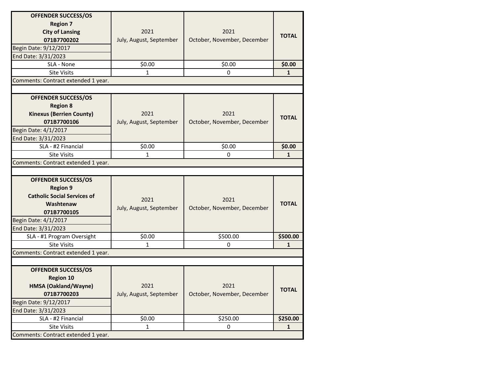| <b>OFFENDER SUCCESS/OS</b>          |                         |                             |              |
|-------------------------------------|-------------------------|-----------------------------|--------------|
| <b>Region 7</b>                     |                         |                             |              |
| <b>City of Lansing</b>              | 2021                    | 2021                        |              |
| 071B7700202                         | July, August, September | October, November, December | <b>TOTAL</b> |
| Begin Date: 9/12/2017               |                         |                             |              |
| End Date: 3/31/2023                 |                         |                             |              |
| SLA - None                          | \$0.00                  | \$0.00                      | \$0.00       |
| <b>Site Visits</b>                  | 1                       | $\mathbf 0$                 | $\mathbf{1}$ |
| Comments: Contract extended 1 year. |                         |                             |              |
|                                     |                         |                             |              |
| <b>OFFENDER SUCCESS/OS</b>          |                         |                             |              |
| <b>Region 8</b>                     |                         |                             |              |
| <b>Kinexus (Berrien County)</b>     | 2021                    | 2021                        | <b>TOTAL</b> |
| 071B7700106                         | July, August, September | October, November, December |              |
| Begin Date: 4/1/2017                |                         |                             |              |
| End Date: 3/31/2023                 |                         |                             |              |
| SLA - #2 Financial                  | \$0.00                  | \$0.00                      | \$0.00       |
| <b>Site Visits</b>                  | 1                       | 0                           | $\mathbf{1}$ |
| Comments: Contract extended 1 year. |                         |                             |              |
|                                     |                         |                             |              |
|                                     |                         |                             |              |
| <b>OFFENDER SUCCESS/OS</b>          |                         |                             |              |
| <b>Region 9</b>                     |                         |                             |              |
| <b>Catholic Social Services of</b>  |                         |                             |              |
| Washtenaw                           | 2021                    | 2021                        | <b>TOTAL</b> |
| 071B7700105                         | July, August, September | October, November, December |              |
| Begin Date: 4/1/2017                |                         |                             |              |
| End Date: 3/31/2023                 |                         |                             |              |
| SLA - #1 Program Oversight          | \$0.00                  | \$500.00                    | \$500.00     |
| <b>Site Visits</b>                  | 1                       | 0                           | 1            |
| Comments: Contract extended 1 year. |                         |                             |              |
|                                     |                         |                             |              |
| <b>OFFENDER SUCCESS/OS</b>          |                         |                             |              |
| <b>Region 10</b>                    |                         |                             |              |
| HMSA (Oakland/Wayne)                | 2021                    | 2021                        |              |
| 071B7700203                         | July, August, September | October, November, December | <b>TOTAL</b> |
| Begin Date: 9/12/2017               |                         |                             |              |
| End Date: 3/31/2023                 |                         |                             |              |
| SLA - #2 Financial                  | \$0.00                  | \$250.00                    | \$250.00     |
| <b>Site Visits</b>                  | $\mathbf{1}$            | 0                           | $\mathbf{1}$ |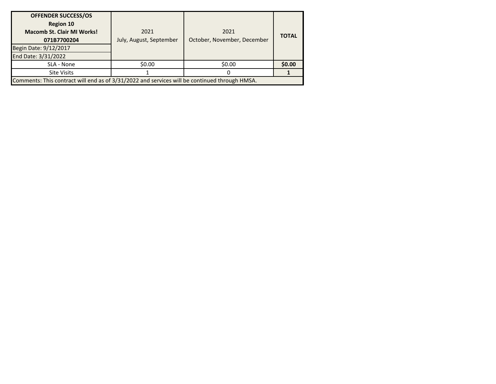| <b>OFFENDER SUCCESS/OS</b><br><b>Region 10</b><br><b>Macomb St. Clair MI Works!</b><br>071B7700204<br>Begin Date: 9/12/2017<br>End Date: 3/31/2022 | 2021<br>July, August, September | 2021<br>October, November, December | <b>TOTAL</b> |
|----------------------------------------------------------------------------------------------------------------------------------------------------|---------------------------------|-------------------------------------|--------------|
| SLA - None                                                                                                                                         | \$0.00                          | \$0.00                              | \$0.00       |
| <b>Site Visits</b>                                                                                                                                 |                                 |                                     |              |
| Comments: This contract will end as of 3/31/2022 and services will be continued through HMSA.                                                      |                                 |                                     |              |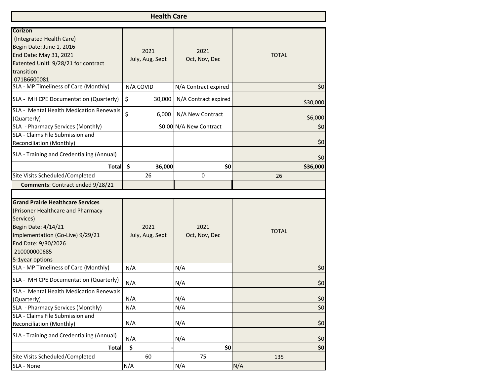| <b>Health Care</b>                                                                                                                                                                                              |                               |                         |              |  |  |
|-----------------------------------------------------------------------------------------------------------------------------------------------------------------------------------------------------------------|-------------------------------|-------------------------|--------------|--|--|
| Corizon<br>(Integrated Health Care)<br>Begin Date: June 1, 2016<br>End Date: May 31, 2021<br>Extented Unitl: 9/28/21 for contract<br>transition<br>071B6600081                                                  | 2021<br>July, Aug, Sept       | 2021<br>Oct, Nov, Dec   | <b>TOTAL</b> |  |  |
| SLA - MP Timeliness of Care (Monthly)                                                                                                                                                                           | N/A COVID                     | N/A Contract expired    | \$0          |  |  |
| SLA - MH CPE Documentation (Quarterly)                                                                                                                                                                          | \$<br>30,000                  | N/A Contract expired    | \$30,000     |  |  |
| SLA - Mental Health Medication Renewals<br>(Quarterly)                                                                                                                                                          | \$<br>6,000                   | N/A New Contract        | \$6,000      |  |  |
| SLA - Pharmacy Services (Monthly)                                                                                                                                                                               |                               | \$0.00 N/A New Contract | \$0          |  |  |
| SLA - Claims File Submission and<br>Reconciliation (Monthly)                                                                                                                                                    |                               |                         | \$0          |  |  |
| SLA - Training and Credentialing (Annual)                                                                                                                                                                       |                               |                         | \$0          |  |  |
| <b>Total</b>                                                                                                                                                                                                    | $\ddot{\mathsf{s}}$<br>36,000 | \$0                     | \$36,000     |  |  |
| Site Visits Scheduled/Completed                                                                                                                                                                                 | 26                            | 0                       | 26           |  |  |
| Comments: Contract ended 9/28/21                                                                                                                                                                                |                               |                         |              |  |  |
| <b>Grand Prairie Healthcare Services</b><br>(Prisoner Healthcare and Pharmacy<br>Services)<br>Begin Date: 4/14/21<br>Implementation (Go-Live) 9/29/21<br>End Date: 9/30/2026<br>210000000685<br>5-1year options | 2021<br>July, Aug, Sept       | 2021<br>Oct, Nov, Dec   | <b>TOTAL</b> |  |  |
| SLA - MP Timeliness of Care (Monthly)                                                                                                                                                                           | N/A                           | N/A                     | \$0          |  |  |
| SLA - MH CPE Documentation (Quarterly)<br>SLA - Mental Health Medication Renewals                                                                                                                               | N/A                           | N/A                     | \$0          |  |  |
| (Quarterly)                                                                                                                                                                                                     | N/A                           | N/A                     | \$0          |  |  |
| SLA - Pharmacy Services (Monthly)                                                                                                                                                                               | N/A                           | N/A                     | \$0          |  |  |
| SLA - Claims File Submission and                                                                                                                                                                                |                               |                         |              |  |  |
| Reconciliation (Monthly)                                                                                                                                                                                        | N/A                           | N/A                     | \$0          |  |  |
| SLA - Training and Credentialing (Annual)                                                                                                                                                                       | N/A                           | N/A                     | \$0          |  |  |
| <b>Total</b>                                                                                                                                                                                                    | \$                            | \$0                     | \$0          |  |  |
| Site Visits Scheduled/Completed                                                                                                                                                                                 | 60                            | 75                      | 135          |  |  |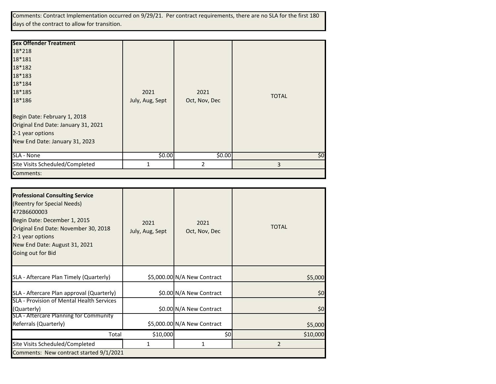Comments: Contract Implementation occurred on 9/29/21. Per contract requirements, there are no SLA for the first 180 days of the contract to allow for transition.

| <b>Sex Offender Treatment</b>       |                 |               |              |
|-------------------------------------|-----------------|---------------|--------------|
| 18*218                              |                 |               |              |
| 18*181                              |                 |               |              |
| 18*182                              |                 |               |              |
| 18*183                              |                 |               |              |
| 18*184                              |                 |               |              |
| 18*185                              | 2021            | 2021          |              |
| 18*186                              | July, Aug, Sept | Oct, Nov, Dec | <b>TOTAL</b> |
| Begin Date: February 1, 2018        |                 |               |              |
| Original End Date: January 31, 2021 |                 |               |              |
| 2-1 year options                    |                 |               |              |
| New End Date: January 31, 2023      |                 |               |              |
| SLA - None                          | \$0.00          | \$0.00        | \$0          |
| Site Visits Scheduled/Completed     |                 | 2             | 3            |
| Comments:                           |                 |               |              |

| <b>Professional Consulting Service</b><br>(Reentry for Special Needs)<br>472B6600003<br>Begin Date: December 1, 2015<br>Original End Date: November 30, 2018<br>2-1 year options<br>New End Date: August 31, 2021<br>Going out for Bid | 2021<br>July, Aug, Sept | 2021<br>Oct, Nov, Dec       | <b>TOTAL</b> |
|----------------------------------------------------------------------------------------------------------------------------------------------------------------------------------------------------------------------------------------|-------------------------|-----------------------------|--------------|
| SLA - Aftercare Plan Timely (Quarterly)                                                                                                                                                                                                |                         | \$5,000.00 N/A New Contract | \$5,000      |
| SLA - Aftercare Plan approval (Quarterly)                                                                                                                                                                                              |                         | \$0.00 N/A New Contract     | \$0          |
| SLA - Provision of Mental Health Services<br>(Quarterly)                                                                                                                                                                               |                         | \$0.00 N/A New Contract     | \$0          |
| SLA - Aftercare Planning for Community<br>Referrals (Quarterly)                                                                                                                                                                        |                         | \$5,000.00 N/A New Contract | \$5,000      |
| Total                                                                                                                                                                                                                                  | \$10,000                | \$0                         | \$10,000     |
| Site Visits Scheduled/Completed                                                                                                                                                                                                        | 1                       | 1                           | 2            |
| Comments: New contract started 9/1/2021                                                                                                                                                                                                |                         |                             |              |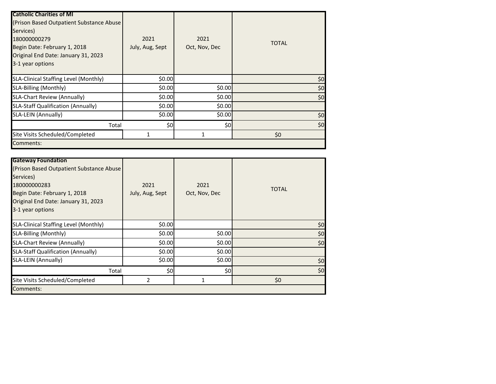| <b>Catholic Charities of MI</b>           |                 |               |              |
|-------------------------------------------|-----------------|---------------|--------------|
| (Prison Based Outpatient Substance Abuse) |                 |               |              |
| Services)                                 |                 |               |              |
| 180000000279                              | 2021            | 2021          | <b>TOTAL</b> |
| Begin Date: February 1, 2018              | July, Aug, Sept | Oct, Nov, Dec |              |
| Original End Date: January 31, 2023       |                 |               |              |
| 3-1 year options                          |                 |               |              |
| SLA-Clinical Staffing Level (Monthly)     | \$0.00          |               | \$0          |
| SLA-Billing (Monthly)                     | \$0.00          | \$0.00        | \$0          |
| <b>SLA-Chart Review (Annually)</b>        | \$0.00          | \$0.00        | \$0          |
| <b>SLA-Staff Qualification (Annually)</b> | \$0.00          | \$0.00        |              |
| SLA-LEIN (Annually)                       | \$0.00          | \$0.00        | \$0          |
| Total                                     | \$0             | \$0           | \$0          |
| Site Visits Scheduled/Completed           |                 |               | \$0          |
| Comments:                                 |                 |               |              |

| <b>Gateway Foundation</b><br>(Prison Based Outpatient Substance Abuse)<br>Services)<br>180000000283<br>Begin Date: February 1, 2018<br>Original End Date: January 31, 2023<br>3-1 year options | 2021<br>July, Aug, Sept | 2021<br>Oct, Nov, Dec | <b>TOTAL</b> |
|------------------------------------------------------------------------------------------------------------------------------------------------------------------------------------------------|-------------------------|-----------------------|--------------|
| SLA-Clinical Staffing Level (Monthly)                                                                                                                                                          | \$0.00                  |                       | \$0          |
| SLA-Billing (Monthly)                                                                                                                                                                          | \$0.00                  | \$0.00                | \$0          |
| <b>SLA-Chart Review (Annually)</b>                                                                                                                                                             | \$0.00                  | \$0.00                | \$0          |
| <b>SLA-Staff Qualification (Annually)</b>                                                                                                                                                      | \$0.00                  | \$0.00                |              |
| SLA-LEIN (Annually)                                                                                                                                                                            | \$0.00                  | \$0.00                | \$0          |
| Total                                                                                                                                                                                          | \$0                     | \$٥                   | \$0          |
| Site Visits Scheduled/Completed                                                                                                                                                                | 2                       | 1                     | \$0          |
| Comments:                                                                                                                                                                                      |                         |                       |              |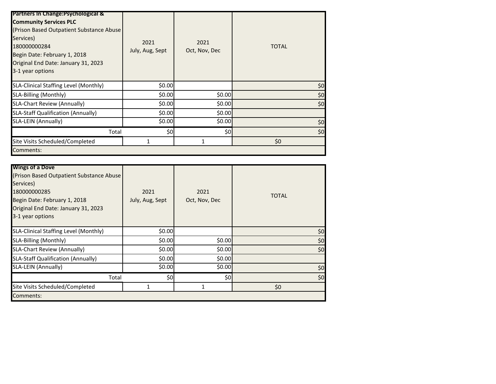| <b>Partners In Change: Psychological &amp;</b><br><b>Community Services PLC</b><br>(Prison Based Outpatient Substance Abuse)<br>Services)<br>180000000284<br>Begin Date: February 1, 2018<br>Original End Date: January 31, 2023<br>3-1 year options | 2021<br>July, Aug, Sept | 2021<br>Oct, Nov, Dec | <b>TOTAL</b> |
|------------------------------------------------------------------------------------------------------------------------------------------------------------------------------------------------------------------------------------------------------|-------------------------|-----------------------|--------------|
| SLA-Clinical Staffing Level (Monthly)                                                                                                                                                                                                                | \$0.00                  |                       | \$0          |
| SLA-Billing (Monthly)                                                                                                                                                                                                                                | \$0.00                  | \$0.00                | \$0          |
| <b>SLA-Chart Review (Annually)</b>                                                                                                                                                                                                                   | \$0.00                  | \$0.00                | \$0          |
| <b>SLA-Staff Qualification (Annually)</b>                                                                                                                                                                                                            | \$0.00                  | \$0.00                |              |
| SLA-LEIN (Annually)                                                                                                                                                                                                                                  | \$0.00                  | \$0.00                | \$0          |
| Total                                                                                                                                                                                                                                                | \$0                     | \$0                   | \$0          |
| Site Visits Scheduled/Completed                                                                                                                                                                                                                      |                         | 1                     | \$0          |
| Comments:                                                                                                                                                                                                                                            |                         |                       |              |

| <b>Wings of a Dove</b><br>(Prison Based Outpatient Substance Abuse)<br>Services)<br>180000000285<br>Begin Date: February 1, 2018<br>Original End Date: January 31, 2023<br>3-1 year options | 2021<br>July, Aug, Sept | 2021<br>Oct, Nov, Dec | <b>TOTAL</b> |
|---------------------------------------------------------------------------------------------------------------------------------------------------------------------------------------------|-------------------------|-----------------------|--------------|
| SLA-Clinical Staffing Level (Monthly)                                                                                                                                                       | \$0.00                  |                       | \$0          |
| SLA-Billing (Monthly)                                                                                                                                                                       | \$0.00                  | \$0.00                | \$0          |
| <b>SLA-Chart Review (Annually)</b>                                                                                                                                                          | \$0.00                  | \$0.00                | \$0          |
| <b>SLA-Staff Qualification (Annually)</b>                                                                                                                                                   | \$0.00                  | \$0.00                |              |
| SLA-LEIN (Annually)                                                                                                                                                                         | \$0.00                  | \$0.00                | \$0          |
| Total                                                                                                                                                                                       | \$0                     | \$0                   | \$0          |
| Site Visits Scheduled/Completed                                                                                                                                                             | 1                       | 1                     | \$0          |
| Comments:                                                                                                                                                                                   |                         |                       |              |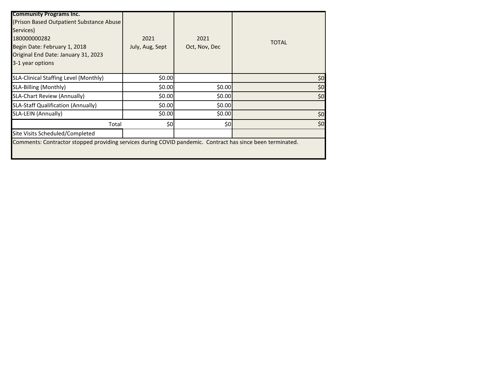| <b>Community Programs Inc.</b>                                                                             |                 |               |              |
|------------------------------------------------------------------------------------------------------------|-----------------|---------------|--------------|
| (Prison Based Outpatient Substance Abuse)                                                                  |                 |               |              |
| Services)                                                                                                  |                 |               |              |
| 180000000282                                                                                               | 2021            | 2021          |              |
| Begin Date: February 1, 2018                                                                               | July, Aug, Sept | Oct, Nov, Dec | <b>TOTAL</b> |
| Original End Date: January 31, 2023                                                                        |                 |               |              |
| 3-1 year options                                                                                           |                 |               |              |
|                                                                                                            |                 |               |              |
| SLA-Clinical Staffing Level (Monthly)                                                                      | \$0.00          |               | \$0          |
| SLA-Billing (Monthly)                                                                                      | \$0.00          | \$0.00        | \$0          |
| <b>SLA-Chart Review (Annually)</b>                                                                         | \$0.00          | \$0.00        | \$0          |
| <b>SLA-Staff Qualification (Annually)</b>                                                                  | \$0.00          | \$0.00        |              |
| SLA-LEIN (Annually)                                                                                        | \$0.00          | \$0.00        | \$0          |
| Total                                                                                                      | \$0             | \$0           | \$0          |
| Site Visits Scheduled/Completed                                                                            |                 |               |              |
| Comments: Contractor stopped providing services during COVID pandemic. Contract has since been terminated. |                 |               |              |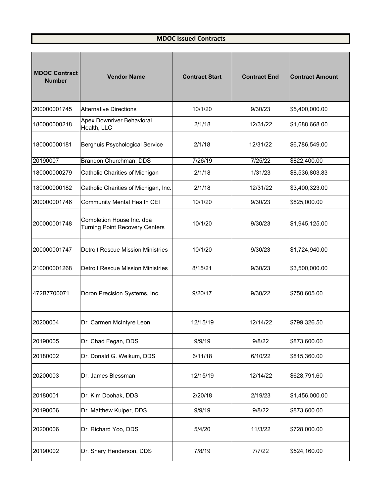## **MDOC Issued Contracts**

| <b>MDOC Contract</b><br><b>Number</b> | <b>Vendor Name</b>                                                 | <b>Contract Start</b> | <b>Contract End</b> | <b>Contract Amount</b> |
|---------------------------------------|--------------------------------------------------------------------|-----------------------|---------------------|------------------------|
| 200000001745                          | <b>Alternative Directions</b>                                      | 10/1/20               | 9/30/23             | \$5,400,000.00         |
| 180000000218                          | Apex Downriver Behavioral<br>Health, LLC                           | 2/1/18                | 12/31/22            | \$1,688,668.00         |
| 180000000181                          | Berghuis Psychological Service                                     | 2/1/18                | 12/31/22            | \$6,786,549.00         |
| 20190007                              | Brandon Churchman, DDS                                             | 7/26/19               | 7/25/22             | \$822,400.00           |
| 180000000279                          | Catholic Charities of Michigan                                     | 2/1/18                | 1/31/23             | \$8,536,803.83         |
| 180000000182                          | Catholic Charities of Michigan, Inc.                               | 2/1/18                | 12/31/22            | \$3,400,323.00         |
| 200000001746                          | <b>Community Mental Health CEI</b>                                 | 10/1/20               | 9/30/23             | \$825,000.00           |
| 200000001748                          | Completion House Inc. dba<br><b>Turning Point Recovery Centers</b> | 10/1/20               | 9/30/23             | \$1,945,125.00         |
| 200000001747                          | <b>Detroit Rescue Mission Ministries</b>                           | 10/1/20               | 9/30/23             | \$1,724,940.00         |
| 210000001268                          | <b>Detroit Rescue Mission Ministries</b>                           | 8/15/21               | 9/30/23             | \$3,500,000.00         |
| 472B7700071                           | Doron Precision Systems, Inc.                                      | 9/20/17               | 9/30/22             | \$750,605.00           |
| 20200004                              | Dr. Carmen McIntyre Leon                                           | 12/15/19              | 12/14/22            | \$799,326.50           |
| 20190005                              | Dr. Chad Fegan, DDS                                                | 9/9/19                | 9/8/22              | \$873,600.00           |
| 20180002                              | Dr. Donald G. Weikum, DDS                                          | 6/11/18               | 6/10/22             | \$815,360.00           |
| 20200003                              | Dr. James Blessman                                                 | 12/15/19              | 12/14/22            | \$628,791.60           |
| 20180001                              | Dr. Kim Doohak, DDS                                                | 2/20/18               | 2/19/23             | \$1,456,000.00         |
| 20190006                              | Dr. Matthew Kuiper, DDS                                            | 9/9/19                | 9/8/22              | \$873,600.00           |
| 20200006                              | Dr. Richard Yoo, DDS                                               | 5/4/20                | 11/3/22             | \$728,000.00           |
| 20190002                              | Dr. Shary Henderson, DDS                                           | 7/8/19                | 7/7/22              | \$524,160.00           |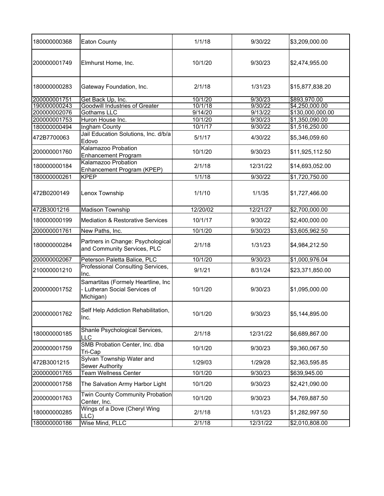| 180000000368 | <b>Eaton County</b>                                                              | 1/1/18   | 9/30/22  | \$3,209,000.00   |
|--------------|----------------------------------------------------------------------------------|----------|----------|------------------|
| 200000001749 | Elmhurst Home, Inc.                                                              | 10/1/20  | 9/30/23  | \$2,474,955.00   |
| 180000000283 | Gateway Foundation, Inc.                                                         | 2/1/18   | 1/31/23  | \$15,877,838.20  |
| 200000001751 | Get Back Up, Inc.                                                                | 10/1/20  | 9/30/23  | \$893,970.00     |
| 190000000243 | <b>Goodwill Industries of Greater</b>                                            | 10/1/18  | 9/30/22  | \$4,250,000.00   |
| 200000002076 | Gothams LLC                                                                      | 9/14/20  | 9/13/22  | \$130,000,000.00 |
| 200000001753 | Huron House Inc.                                                                 | 10/1/20  | 9/30/23  | \$1,350,090.00   |
| 180000000494 | Ingham County                                                                    | 10/1/17  | 9/30/22  | \$1,516,250.00   |
| 472B7700063  | Jail Education Solutions, Inc. d/b/a<br>Edovo                                    | 5/1/17   | 4/30/22  | \$5,346,059.60   |
| 200000001760 | Kalamazoo Probation<br><b>Enhancement Program</b>                                | 10/1/20  | 9/30/23  | \$11,925,112.50  |
| 180000000184 | Kalamazoo Probation<br>Enhancement Program (KPEP)                                | 2/1/18   | 12/31/22 | \$14,693,052.00  |
| 180000000261 | <b>KPEP</b>                                                                      | 1/1/18   | 9/30/22  | \$1,720,750.00   |
| 472B0200149  | Lenox Township                                                                   | 1/1/10   | 1/1/35   | \$1,727,466.00   |
| 472B3001216  | <b>Madison Township</b>                                                          | 12/20/02 | 12/21/27 | \$2,700,000.00   |
| 180000000199 | <b>Mediation &amp; Restorative Services</b>                                      | 10/1/17  | 9/30/22  | \$2,400,000.00   |
| 200000001761 | New Paths, Inc.                                                                  | 10/1/20  | 9/30/23  | \$3,605,962.50   |
| 180000000284 | Partners in Change: Psychological<br>and Community Services, PLC                 | 2/1/18   | 1/31/23  | \$4,984,212.50   |
| 200000002067 | Peterson Paletta Balice, PLC                                                     | 10/1/20  | 9/30/23  | \$1,000,976.04   |
| 210000001210 | Professional Consulting Services,<br>Inc.                                        | 9/1/21   | 8/31/24  | \$23,371,850.00  |
| 200000001752 | Samartitas (Formely Heartline, Inc<br>- Lutheran Social Services of<br>Michigan) | 10/1/20  | 9/30/23  | \$1,095,000.00   |
| 200000001762 | Self Help Addiction Rehabilitation,<br>Inc.                                      | 10/1/20  | 9/30/23  | \$5,144,895.00   |
| 180000000185 | Shanle Psychological Services,<br>LLC                                            | 2/1/18   | 12/31/22 | \$6,689,867.00   |
| 200000001759 | SMB Probation Center, Inc. dba<br>Tri-Cap                                        | 10/1/20  | 9/30/23  | \$9,360,067.50   |
| 472B3001215  | Sylvan Township Water and<br>Sewer Authority                                     | 1/29/03  | 1/29/28  | \$2,363,595.85   |
| 200000001765 | <b>Team Wellness Center</b>                                                      | 10/1/20  | 9/30/23  | \$639,945.00     |
| 200000001758 | The Salvation Army Harbor Light                                                  | 10/1/20  | 9/30/23  | \$2,421,090.00   |
| 200000001763 | <b>Twin County Community Probation</b><br>Center, Inc.                           | 10/1/20  | 9/30/23  | \$4,769,887.50   |
| 180000000285 | Wings of a Dove (Cheryl Wing<br>LLC)                                             | 2/1/18   | 1/31/23  | \$1,282,997.50   |
| 180000000186 | Wise Mind, PLLC                                                                  | 2/1/18   | 12/31/22 | \$2,010,808.00   |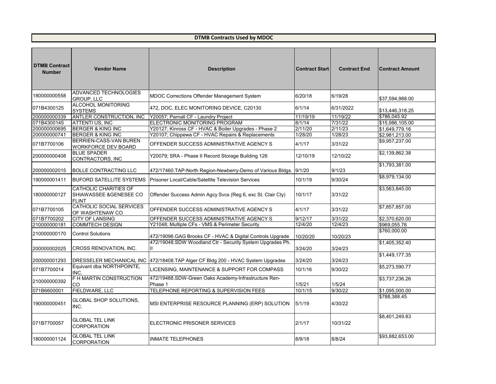| <b>DTMB Contract</b><br><b>Number</b> | <b>Vendor Name</b>                                               | <b>Description</b>                                                               | <b>Contract Start</b> | <b>Contract End</b> | <b>Contract Amount</b> |
|---------------------------------------|------------------------------------------------------------------|----------------------------------------------------------------------------------|-----------------------|---------------------|------------------------|
| 180000000558                          | ADVANCED TECHNOLOGIES<br><b>GROUP, LLC</b>                       | MDOC Corrections Offender Management System                                      | 6/20/18               | 6/19/28             | \$37,594,988.00        |
| 071B4300125                           | <b>ALCOHOL MONITORING</b><br><b>SYSTEMS</b>                      | 472, DOC, ELEC MONITORING DEVICE, C20130                                         | 6/1/14                | 6/31/2022           | \$13,446,318.25        |
| 200000000339                          | <b>ANTLER CONSTRUCTION, INC</b>                                  | Y20057; Parnall CF - Laundry Project                                             | 11/19/19              | 11/19/22            | \$786,045.92           |
| 071B4300145                           | <b>ATTENTI US, INC</b>                                           | ELECTRONIC MONITORING PROGRAM                                                    | 8/1/14                | 7/31/22             | \$15,986,105.00        |
| 200000000695                          | <b>BERGER &amp; KING INC</b>                                     | Y20127; Kinross CF - HVAC & Boiler Upgrades - Phase 2                            | 2/11/20               | 2/11/23             | $\sqrt{$1,649,779.16}$ |
| 200000000741                          | <b>BERGER &amp; KING INC</b>                                     | Y20107; Chippewa CF - HVAC Repairs & Replacements                                | 1/28/20               | 1/28/23             | \$2,981,213.00         |
| 071B7700106                           | <b>BERRIEN-CASS-VAN BUREN</b><br><b>WORKFORCE DEV BOARD</b>      | OFFENDER SUCCESS ADMINISTRATIVE AGENCY S                                         | 4/1/17                | 3/31/22             | \$9,957,237.00         |
| 200000000408                          | <b>BLUE SPADER</b><br>CONTRACTORS, INC                           | Y20079; SRA - Phase II Record Storage Building 126                               | 12/10/19              | 12/10/22            | \$2,139,862.38         |
| 200000002015                          | <b>BOLLE CONTRACTING LLC</b>                                     | 472/17460.TAP-North Region-Newberry-Demo of Various Bldgs.                       | 9/1/20                | 9/1/23              | \$1,793,381.00         |
| 190000001411                          | <b>BUFORD SATELLITE SYSTEMS</b>                                  | Prisoner Local/Cable/Satellite Television Services                               | 10/1/19               | 9/30/24             | \$8,979,134.00         |
| 180000000127                          | <b>CATHOLIC CHARITIES OF</b><br>SHIAWASSEE & GENESEE CO<br>FLINT | Offender Success Admin Agcy Svcs (Reg 6, exc St. Clair Cty)                      | 10/1/17               | 3/31/22             | \$3,563,845.00         |
| 071B7700105                           | <b>CATHOLIC SOCIAL SERVICES</b><br>OF WASHTENAW CO               | OFFENDER SUCCESS ADMINISTRATIVE AGENCY S                                         | 4/1/17                | 3/31/22             | \$7,857,857.00         |
| 071B7700202                           | <b>CITY OF LANSING</b>                                           | OFFENDER SUCCESS ADMINISTRATIVE AGENCY S                                         | 9/12/17               | 3/31/22             | \$2,370,620.00         |
| 210000000181                          | <b>COMMTECH DESIGN</b>                                           | Y21048; Multiple CFs - VMS & Perimeter Security                                  | 12/4/20               | 12/4/23             | \$969,055.76           |
| 210000000170                          | <b>Control Solutions</b>                                         | 472/19096.GAG Brooks CF - HVAC & Digital Controls Upgrade                        | 10/20/20              | 10/20/23            | \$760,000.00           |
| 200000002025                          | <b>CROSS RENOVATION, INC.</b>                                    | 472/19048.SDW Woodland Ctr - Security System Upgrades Ph.                        | 3/24/20               | 3/24/23             | \$1,405,352.40         |
| 200000001293                          |                                                                  | DRESSELER MECHANICAL INC  472/18408.TAP Alger CF Bldg 200 - HVAC System Upgrades | 3/24/20               | 3/24/23             | $\sqrt{1,449,177}.35$  |
| 071B7700014                           | Equivant dba NORTHPOINTE,<br>INC.                                | LICENSING, MAINTENANCE & SUPPORT FOR COMPASS                                     | 10/1/16               | 9/30/22             | \$5,273,590.77         |
| 210000000392                          | F H MARTIN CONSTRUCTION<br><b>CO</b>                             | 472/19488.SDW-Green Oaks Academy-Infrastructure Ren-<br>Phase 1                  | 1/5/21                | 1/5/24              | \$3,737,236.26         |
| 071B6600001                           | <b>FIELDWARE, LLC</b>                                            | TELEPHONE REPORTING & SUPERVISION FEES                                           | 10/1/15               | 9/30/22             | \$1,095,000.00         |
| 190000000451                          | <b>GLOBAL SHOP SOLUTIONS,</b><br>INC.                            | MSI ENTERPRISE RESOURCE PLANNING (ERP) SOLUTION                                  | 5/1/19                | 4/30/22             | \$788,388.45           |
| 071B7700057                           | <b>GLOBAL TEL LINK</b><br><b>CORPORATION</b>                     | ELECTRONIC PRISONER SERVICES                                                     | 2/1/17                | 10/31/22            | \$8,401,249.83         |
| 180000001124                          | <b>GLOBAL TEL LINK</b><br>CORPORATION                            | <b>INMATE TELEPHONES</b>                                                         | 8/9/18                | 8/8/24              | \$93,882,653.00        |

**DTMB Contracts Used by MDOC**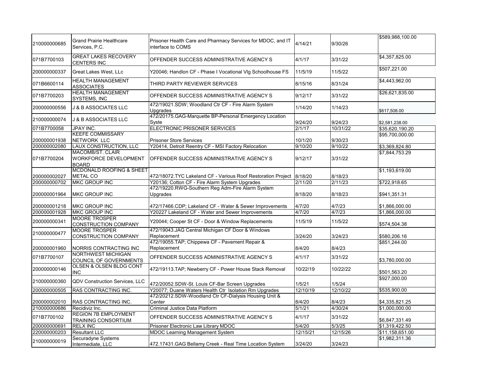|              |                                                           |                                                                                  |          |          | \$589,988,100.00            |
|--------------|-----------------------------------------------------------|----------------------------------------------------------------------------------|----------|----------|-----------------------------|
| 210000000685 | <b>Grand Prairie Healthcare</b><br>Services, P.C.         | Prisoner Health Care and Pharmacy Services for MDOC, and IT<br>interface to COMS | 4/14/21  | 9/30/26  |                             |
| 071B7700103  | <b>GREAT LAKES RECOVERY</b><br><b>CENTERS INC</b>         | OFFENDER SUCCESS ADMINISTRATIVE AGENCY S                                         | 4/1/17   | 3/31/22  | \$4,357,825.00              |
| 200000000337 | <b>Great Lakes West, LLc</b>                              | Y20046; Handlon CF - Phase I Vocational VIg Schoolhouse FS                       | 11/5/19  | 11/5/22  | \$507,221.00                |
| 071B6600114  | <b>HEALTH MANAGEMENT</b><br><b>ASSOCIATES</b>             | <b>THIRD PARTY REVIEWER SERVICES</b>                                             | 8/15/16  | 8/31/24  | \$4,443,962.00              |
| 071B7700203  | <b>HEALTH MANAGEMENT</b><br><b>SYSTEMS, INC</b>           | OFFENDER SUCCESS ADMINISTRATIVE AGENCY S                                         | 9/12/17  | 3/31/22  | \$26,621,835.00             |
| 200000000556 | J & B ASSOCIATES LLC                                      | 472/19021.SDW; Woodland Ctr CF - Fire Alarm System<br><b>Upgrades</b>            | 1/14/20  | 1/14/23  | \$617,508.00                |
| 210000000074 | J & B ASSOCIATES LLC                                      | 472/20175.GAG-Marquette BP-Personal Emergency Location<br>Syste                  | 9/24/20  | 9/24/23  | \$2,581,238.00              |
| 071B7700058  | JPAY INC.                                                 | <b>ELECTRONIC PRISONER SERVICES</b>                                              | 2/1/17   | 10/31/22 | $\overline{$35,620,190.20}$ |
|              | <b>KEEFE COMMISSARY</b>                                   |                                                                                  |          |          | \$95,700,000.00             |
| 200000001938 | <b>NETWORK LLC</b>                                        | <b>Prisoner Store Services</b>                                                   | 10/1/20  | 9/30/23  |                             |
| 200000002080 | LAUX CONSTRUCTION, LLC                                    | Y20414, Detroit Reentry CF - MSI Factory Relocation                              | 9/10/20  | 9/10/22  | \$3,369,824.80              |
|              | <b>MACOMB/ST. CLAIR</b>                                   |                                                                                  |          |          | \$7,844,753.29              |
| 071B7700204  | <b>WORKFORCE DEVELOPMENT</b><br><b>BOARD</b>              | OFFENDER SUCCESS ADMINISTRATIVE AGENCY S                                         | 9/12/17  | 3/31/22  |                             |
|              | <b>MCDONALD ROOFING &amp; SHEET</b>                       |                                                                                  |          |          | \$1,193,619.00              |
| 200000002027 | <b>METAL CO</b>                                           | 472/18072.TYC Lakeland CF - Various Roof Restoration Project   8/18/20           |          | 8/18/23  |                             |
| 200000000702 | <b>MKC GROUP INC</b>                                      | Y20136; Cotton CF - Fire Alarm System Upgrades                                   | 2/11/20  | 2/11/23  | \$722,918.65                |
|              |                                                           | 472/19220.RWG-Southern Reg Adm-Fire Alarm System                                 |          |          |                             |
| 200000001964 | <b>MKC GROUP INC</b>                                      | <b>Upgrades</b>                                                                  | 8/18/20  | 8/18/23  | \$941,351.31                |
| 200000001218 | <b>MKC GROUP INC</b>                                      | 472/17466.CDP; Lakeland CF - Water & Sewer Improvements                          | 4/7/20   | 4/7/23   | \$1,866,000.00              |
| 200000001928 | <b>MKC GROUP INC</b>                                      | Y20227 Lakeland CF - Water and Sewer Improvements                                | 4/7/20   | 4/7/23   | \$1,866,000.00              |
| 200000000341 | <b>MOORE TROSPER</b><br><b>CONSTRUCTION COMPANY</b>       | Y20044; Cooper St CF - Door & Window Replacements                                | 11/5/19  | 11/5/22  | \$574,504.38                |
| 210000000477 | <b>MOORE TROSPER</b><br><b>CONSTRUCTION COMPANY</b>       | 472/19043.JAG Central Michigan CF Door & Windows<br>Replacement                  | 3/24/20  | 3/24/23  | \$580,206.16                |
| 200000001960 | NORRIS CONTRACTING INC                                    | 472/19055.TAP; Chippewa CF - Pavement Repair &<br>Replacement                    | 8/4/20   | 8/4/23   | \$851,244.00                |
| 071B7700107  | <b>NORTHWEST MICHIGAN</b><br>COUNCIL OF GOVERNMENTS       | OFFENDER SUCCESS ADMINISTRATIVE AGENCY S                                         | 4/1/17   | 3/31/22  | \$3,780,000.00              |
| 200000000146 | OLSEN & OLSEN BLDG CONT<br><b>INC</b>                     | 472/19113.TAP; Newberry CF - Power House Stack Removal                           | 10/22/19 | 10/22/22 | \$501,563.20                |
| 210000000360 | <b>QDV Construction Services, LLC</b>                     | 472/20052.SDW-St. Louis CF-Bar Screen Upgrades                                   | 1/5/21   | 1/5/24   | \$927,000.00                |
| 200000000505 | RAS CONTRACTING INC.                                      | Y20077; Duane Waters Health Ctr Isolation Rm Upgrades                            | 12/10/19 | 12/10/22 | \$535,900.00                |
|              |                                                           | 472/20212.SDW-Woodland Ctr CF-Dialysis Housing Unit &                            |          |          |                             |
| 200000002010 | <b>RAS CONTRACTING INC.</b>                               | Center                                                                           | 8/4/20   | 8/4/23   | \$4,335,821.25              |
| 210000000686 | Recidiviz Inc.                                            | <b>Criminal Justice Data Platform</b>                                            | 5/1/21   | 4/30/24  | \$1,000,000.00              |
|              |                                                           |                                                                                  |          |          |                             |
| 071B7700102  | <b>REGION 7B EMPLOYMENT</b><br><b>TRAINING CONSORTIUM</b> | OFFENDER SUCCESS ADMINISTRATIVE AGENCY S                                         | 4/1/17   | 3/31/22  | \$6,847,331.49              |
| 200000000691 | <b>RELX INC</b>                                           | Prisoner Electronic Law Library MDOC                                             | 5/4/20   | 5/3/25   | \$1,319,422.50              |
| 220000000203 | <b>Resultant LLC</b>                                      | <b>MDOC Learning Management System</b>                                           | 12/15/21 | 12/15/26 | \$11,158,651.00             |
|              | Securadyne Systems                                        |                                                                                  |          |          | \$1,982,311.36              |
| 210000000019 | Intermediate, LLC                                         | 472.17431.GAG Bellamy Creek - Real Time Location System                          | 3/24/20  | 3/24/23  |                             |